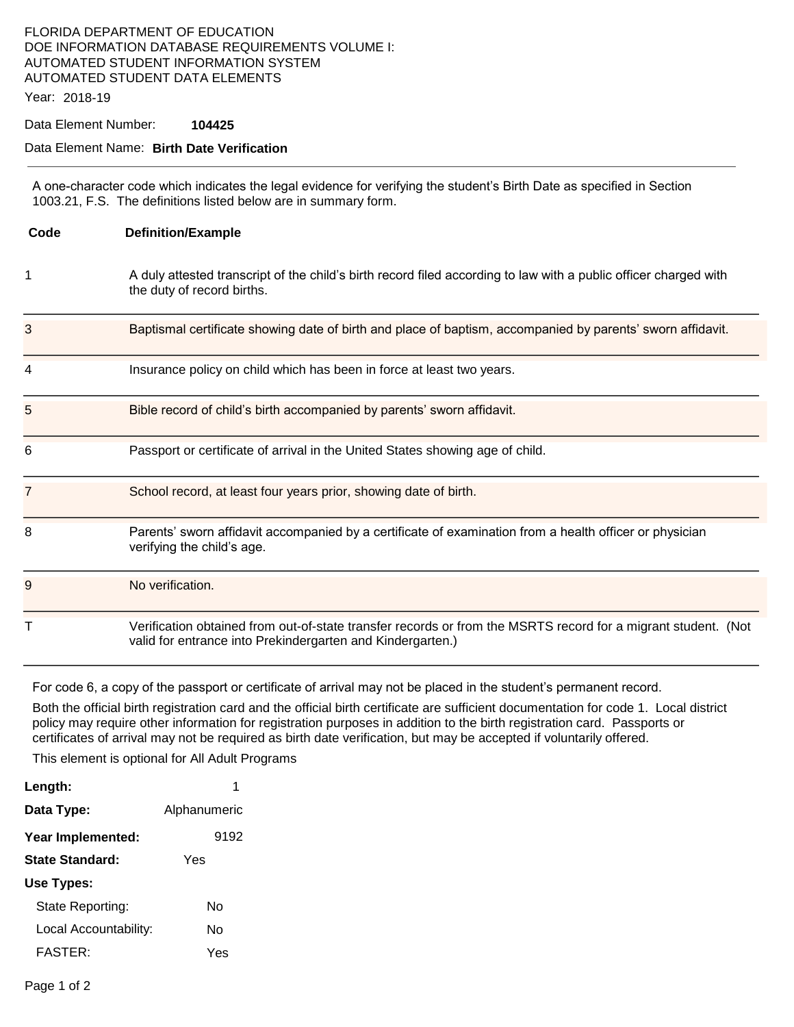## FLORIDA DEPARTMENT OF EDUCATION DOE INFORMATION DATABASE REQUIREMENTS VOLUME I: AUTOMATED STUDENT INFORMATION SYSTEM AUTOMATED STUDENT DATA ELEMENTS

Year: 2018-19

Data Element Number: **104425** 

## Data Element Name: **Birth Date Verification**

A one-character code which indicates the legal evidence for verifying the student's Birth Date as specified in Section 1003.21, F.S. The definitions listed below are in summary form.

| Code           | <b>Definition/Example</b>                                                                                                                                                   |
|----------------|-----------------------------------------------------------------------------------------------------------------------------------------------------------------------------|
| 1              | A duly attested transcript of the child's birth record filed according to law with a public officer charged with<br>the duty of record births.                              |
| 3              | Baptismal certificate showing date of birth and place of baptism, accompanied by parents' sworn affidavit.                                                                  |
| 4              | Insurance policy on child which has been in force at least two years.                                                                                                       |
| 5              | Bible record of child's birth accompanied by parents' sworn affidavit.                                                                                                      |
| 6              | Passport or certificate of arrival in the United States showing age of child.                                                                                               |
| $\overline{7}$ | School record, at least four years prior, showing date of birth.                                                                                                            |
| 8              | Parents' sworn affidavit accompanied by a certificate of examination from a health officer or physician<br>verifying the child's age.                                       |
| 9              | No verification.                                                                                                                                                            |
| т              | Verification obtained from out-of-state transfer records or from the MSRTS record for a migrant student. (Not<br>valid for entrance into Prekindergarten and Kindergarten.) |

For code 6, a copy of the passport or certificate of arrival may not be placed in the student's permanent record.

Both the official birth registration card and the official birth certificate are sufficient documentation for code 1. Local district policy may require other information for registration purposes in addition to the birth registration card. Passports or certificates of arrival may not be required as birth date verification, but may be accepted if voluntarily offered.

This element is optional for All Adult Programs

| Length:               | 1            |
|-----------------------|--------------|
| Data Type:            | Alphanumeric |
| Year Implemented:     | 9192         |
| State Standard:       | Yes          |
| Use Types:            |              |
| State Reporting:      | N٥           |
| Local Accountability: | N٥           |
| <b>FASTER:</b>        | Yes          |
|                       |              |